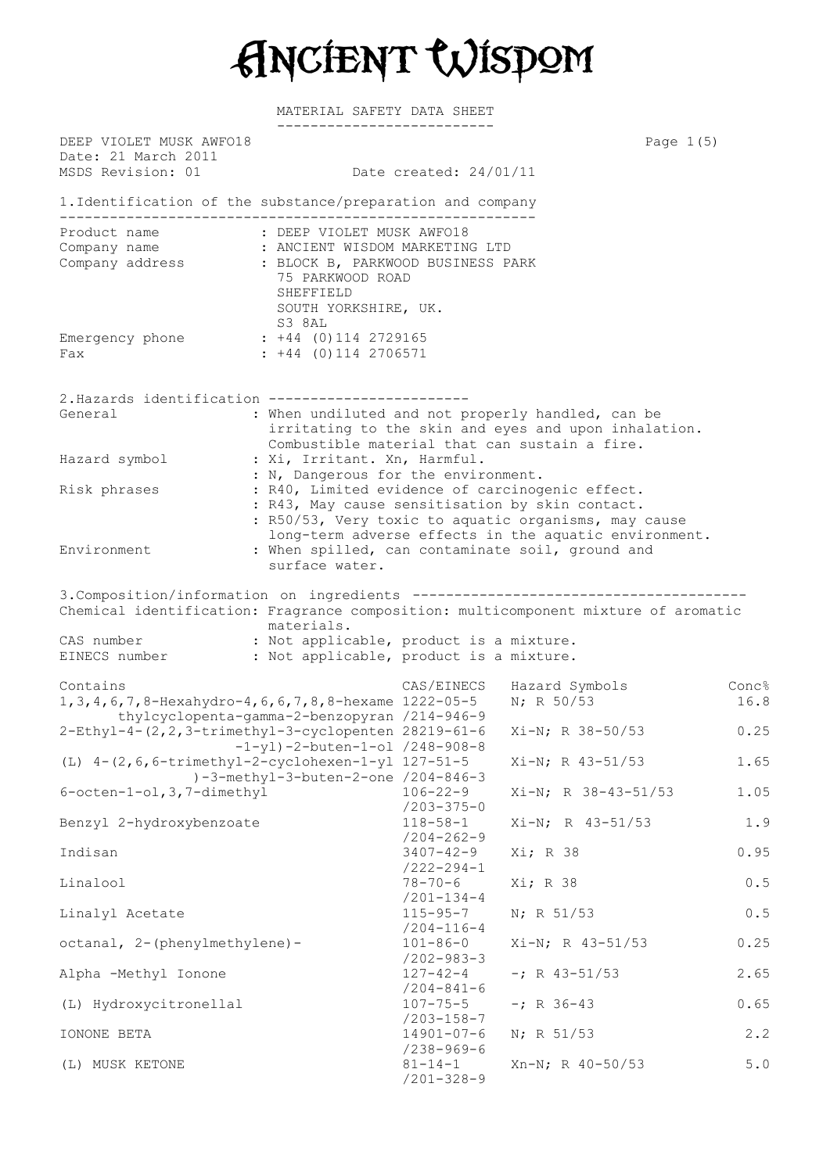Ancient Wisdom

MATERIAL SAFETY DATA SHEET

| DEEP VIOLET MUSK AWFO18<br>Date: 21 March 2011<br>MSDS Revision: 01                                                                                                                               |                                              | Date created: 24/01/11                                                                                                                                                                                                                                                                    | Page $1(5)$                                                                                               |                      |  |  |  |
|---------------------------------------------------------------------------------------------------------------------------------------------------------------------------------------------------|----------------------------------------------|-------------------------------------------------------------------------------------------------------------------------------------------------------------------------------------------------------------------------------------------------------------------------------------------|-----------------------------------------------------------------------------------------------------------|----------------------|--|--|--|
| 1. Identification of the substance/preparation and company                                                                                                                                        |                                              |                                                                                                                                                                                                                                                                                           |                                                                                                           |                      |  |  |  |
|                                                                                                                                                                                                   |                                              |                                                                                                                                                                                                                                                                                           |                                                                                                           |                      |  |  |  |
| Product name                                                                                                                                                                                      | SHEFFIELD                                    | : DEEP VIOLET MUSK AWFO18<br>Company name : ANCIENT WISDOM MARKETING LTD<br>Company address : BLOCK B, PARKWOOD BUSINESS PARK<br>75 PARKWOOD ROAD<br>SOUTH YORKSHIRE, UK.                                                                                                                 |                                                                                                           |                      |  |  |  |
| Emergency phone : +44 (0)114 2729165<br>Fax                                                                                                                                                       | S3 8AL<br>$: +44$ (0) 114 2706571            |                                                                                                                                                                                                                                                                                           |                                                                                                           |                      |  |  |  |
| 2. Hazards identification -----------------------                                                                                                                                                 |                                              |                                                                                                                                                                                                                                                                                           |                                                                                                           |                      |  |  |  |
| General                                                                                                                                                                                           |                                              |                                                                                                                                                                                                                                                                                           | : When undiluted and not properly handled, can be<br>irritating to the skin and eyes and upon inhalation. |                      |  |  |  |
| Hazard symbol                                                                                                                                                                                     |                                              | Combustible material that can sustain a fire.<br>: Xi, Irritant. Xn, Harmful.<br>: N, Dangerous for the environment.                                                                                                                                                                      |                                                                                                           |                      |  |  |  |
| Risk phrases                                                                                                                                                                                      |                                              | : R40, Limited evidence of carcinogenic effect.<br>: R43, May cause sensitisation by skin contact.<br>: R50/53, Very toxic to aquatic organisms, may cause<br>long-term adverse effects in the aquatic environment.<br>: When spilled, can contaminate soil, ground and<br>surface water. |                                                                                                           |                      |  |  |  |
| Environment                                                                                                                                                                                       |                                              |                                                                                                                                                                                                                                                                                           |                                                                                                           |                      |  |  |  |
| Chemical identification: Fragrance composition: multicomponent mixture of aromatic<br>CAS number : Not applicable, product is a mixture.<br>EINECS number : Not applicable, product is a mixture. | materials.                                   |                                                                                                                                                                                                                                                                                           |                                                                                                           |                      |  |  |  |
|                                                                                                                                                                                                   |                                              |                                                                                                                                                                                                                                                                                           |                                                                                                           |                      |  |  |  |
| Contains<br>1, 3, 4, 6, 7, 8-Hexahydro-4, 6, 6, 7, 8, 8-hexame 1222-05-5                                                                                                                          | thylcyclopenta-gamma-2-benzopyran /214-946-9 | CAS/EINECS                                                                                                                                                                                                                                                                                | Hazard Symbols<br>N; R 50/53                                                                              | <b>Conc%</b><br>16.8 |  |  |  |
| 2-Ethyl-4-(2, 2, 3-trimethyl-3-cyclopenten 28219-61-6                                                                                                                                             | $-1-y1$ )-2-buten-1-ol /248-908-8            |                                                                                                                                                                                                                                                                                           | Xi-N; R 38-50/53                                                                                          | 0.25                 |  |  |  |
| (L) 4-(2,6,6-trimethyl-2-cyclohexen-1-yl 127-51-5<br>)-3-methyl-3-buten-2-one /204-846-3                                                                                                          |                                              |                                                                                                                                                                                                                                                                                           | $Xi-N$ ; R 43-51/53                                                                                       | 1.65                 |  |  |  |
| $6$ -octen-1-ol, 3, 7-dimethyl                                                                                                                                                                    |                                              | $106 - 22 - 9$<br>$/203 - 375 - 0$                                                                                                                                                                                                                                                        | $Xi-N$ ; R $38-43-51/53$                                                                                  | 1.05                 |  |  |  |
| Benzyl 2-hydroxybenzoate                                                                                                                                                                          |                                              | $118 - 58 - 1$<br>$/204 - 262 - 9$                                                                                                                                                                                                                                                        | Xi-N; R 43-51/53                                                                                          | 1.9                  |  |  |  |
| Indisan                                                                                                                                                                                           |                                              | $3407 - 42 - 9$<br>$/222 - 294 - 1$                                                                                                                                                                                                                                                       | Xi; R 38                                                                                                  | 0.95                 |  |  |  |
| Linalool                                                                                                                                                                                          |                                              | $78 - 70 - 6$<br>$/201 - 134 - 4$                                                                                                                                                                                                                                                         | Xi; R 38                                                                                                  | 0.5                  |  |  |  |
| Linalyl Acetate                                                                                                                                                                                   |                                              | $115 - 95 - 7$<br>$/204 - 116 - 4$                                                                                                                                                                                                                                                        | N; R 51/53                                                                                                | 0.5                  |  |  |  |
| octanal, 2-(phenylmethylene)-                                                                                                                                                                     |                                              | $101 - 86 - 0$<br>$/202 - 983 - 3$                                                                                                                                                                                                                                                        | $Xi-N; R 43-51/53$                                                                                        | 0.25                 |  |  |  |
| Alpha -Methyl Ionone                                                                                                                                                                              |                                              | $127 - 42 - 4$<br>$/204 - 841 - 6$                                                                                                                                                                                                                                                        | $-i$ R 43-51/53                                                                                           | 2.65                 |  |  |  |
| (L) Hydroxycitronellal                                                                                                                                                                            |                                              | $107 - 75 - 5$<br>$/203 - 158 - 7$                                                                                                                                                                                                                                                        | $-; R 36-43$                                                                                              | 0.65                 |  |  |  |
| IONONE BETA                                                                                                                                                                                       |                                              | $14901 - 07 - 6$<br>$/238 - 969 - 6$                                                                                                                                                                                                                                                      | N; R 51/53                                                                                                | 2.2                  |  |  |  |
| (L) MUSK KETONE                                                                                                                                                                                   |                                              | $81 - 14 - 1$<br>$/201 - 328 - 9$                                                                                                                                                                                                                                                         | $Xn-N$ ; R 40-50/53                                                                                       | 5.0                  |  |  |  |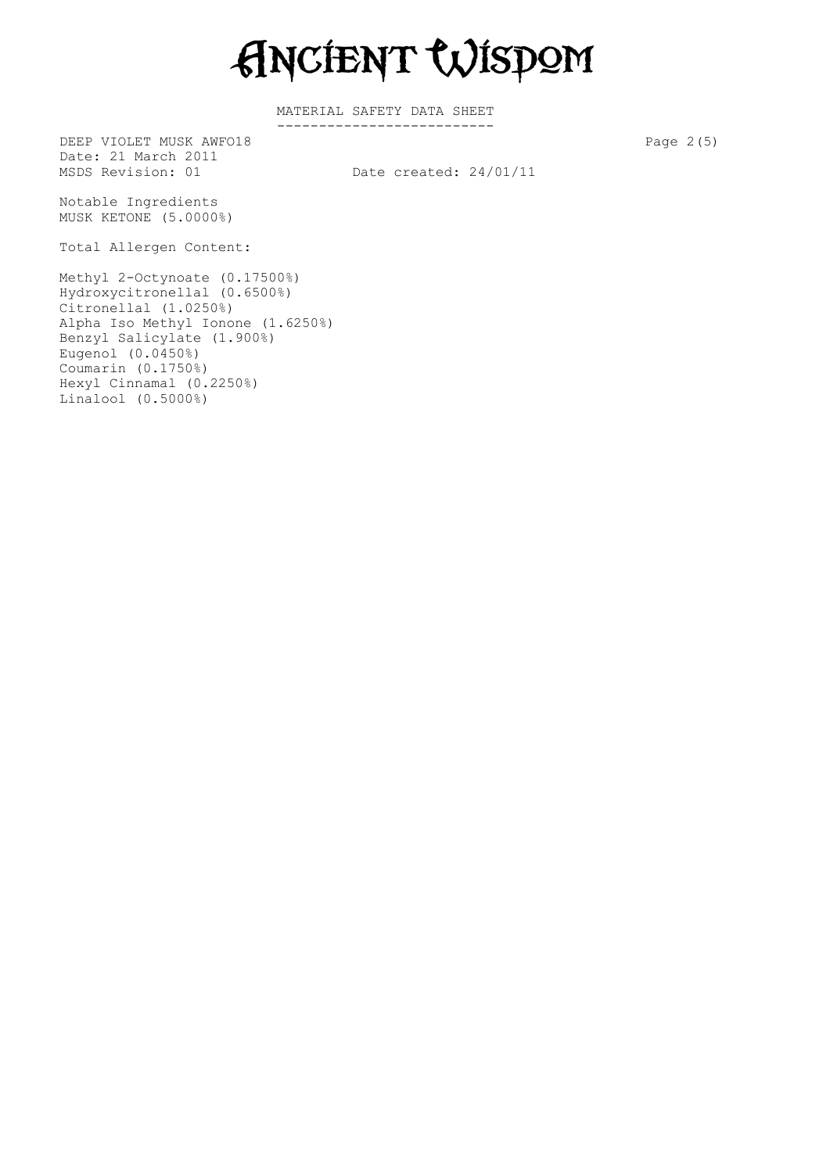Ancient Wisdom

MATERIAL SAFETY DATA SHEET --------------------------

DEEP VIOLET MUSK AWFO18 Page 2(5) Date: 21 March 2011<br>MSDS Revision: 01

Date created:  $24/01/11$ 

Notable Ingredients MUSK KETONE (5.0000%)

Total Allergen Content:

Methyl 2-Octynoate (0.17500%) Hydroxycitronellal (0.6500%) Citronellal (1.0250%) Alpha Iso Methyl Ionone (1.6250%) Benzyl Salicylate (1.900%) Eugenol (0.0450%) Coumarin (0.1750%) Hexyl Cinnamal (0.2250%) Linalool (0.5000%)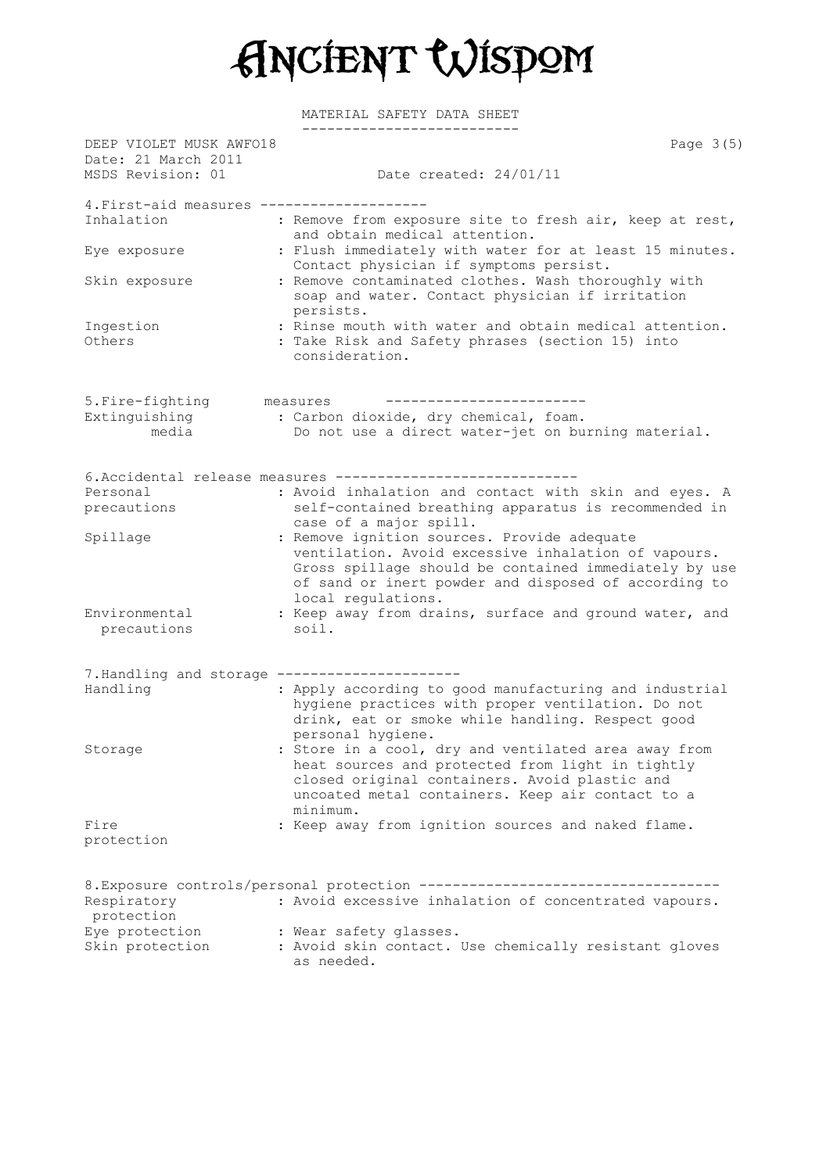Ancient Wisdom

MATERIAL SAFETY DATA SHEET

| DEEP VIOLET MUSK AWFO18<br>Date: 21 March 2011 |                                                                                                                                                                                                                                           | Page $3(5)$ |
|------------------------------------------------|-------------------------------------------------------------------------------------------------------------------------------------------------------------------------------------------------------------------------------------------|-------------|
| MSDS Revision: 01                              | Date created: 24/01/11                                                                                                                                                                                                                    |             |
| 4. First-aid measures -----                    |                                                                                                                                                                                                                                           |             |
| Inhalation                                     | : Remove from exposure site to fresh air, keep at rest,<br>and obtain medical attention.                                                                                                                                                  |             |
| Eye exposure                                   | : Flush immediately with water for at least 15 minutes.<br>Contact physician if symptoms persist.                                                                                                                                         |             |
| Skin exposure                                  | : Remove contaminated clothes. Wash thoroughly with<br>soap and water. Contact physician if irritation<br>persists.                                                                                                                       |             |
| Ingestion<br>Others                            | : Rinse mouth with water and obtain medical attention.<br>: Take Risk and Safety phrases (section 15) into<br>consideration.                                                                                                              |             |
| 5. Fire-fighting                               | measures                                                                                                                                                                                                                                  |             |
| Extinguishing<br>media                         | : Carbon dioxide, dry chemical, foam.<br>Do not use a direct water-jet on burning material.                                                                                                                                               |             |
|                                                | 6. Accidental release measures --------------------------                                                                                                                                                                                 |             |
| Personal                                       | : Avoid inhalation and contact with skin and eyes. A                                                                                                                                                                                      |             |
| precautions                                    | self-contained breathing apparatus is recommended in<br>case of a major spill.                                                                                                                                                            |             |
| Spillage                                       | : Remove ignition sources. Provide adequate<br>ventilation. Avoid excessive inhalation of vapours.<br>Gross spillage should be contained immediately by use<br>of sand or inert powder and disposed of according to<br>local regulations. |             |
| Environmental<br>precautions                   | : Keep away from drains, surface and ground water, and<br>soil.                                                                                                                                                                           |             |
| 7. Handling and storage ------------------     |                                                                                                                                                                                                                                           |             |
| Handling                                       | : Apply according to good manufacturing and industrial<br>hygiene practices with proper ventilation. Do not<br>drink, eat or smoke while handling. Respect good<br>personal hygiene.                                                      |             |
| Storage                                        | : Store in a cool, dry and ventilated area away from<br>heat sources and protected from light in tightly<br>closed original containers. Avoid plastic and<br>uncoated metal containers. Keep air contact to a<br>minimum.                 |             |
| Fire<br>protection                             | : Keep away from ignition sources and naked flame.                                                                                                                                                                                        |             |
| Respiratory<br>protection                      | 8. Exposure controls/personal protection -----------------------------------<br>: Avoid excessive inhalation of concentrated vapours.                                                                                                     |             |
| Eye protection<br>Skin protection              | : Wear safety glasses.<br>: Avoid skin contact. Use chemically resistant gloves<br>as needed.                                                                                                                                             |             |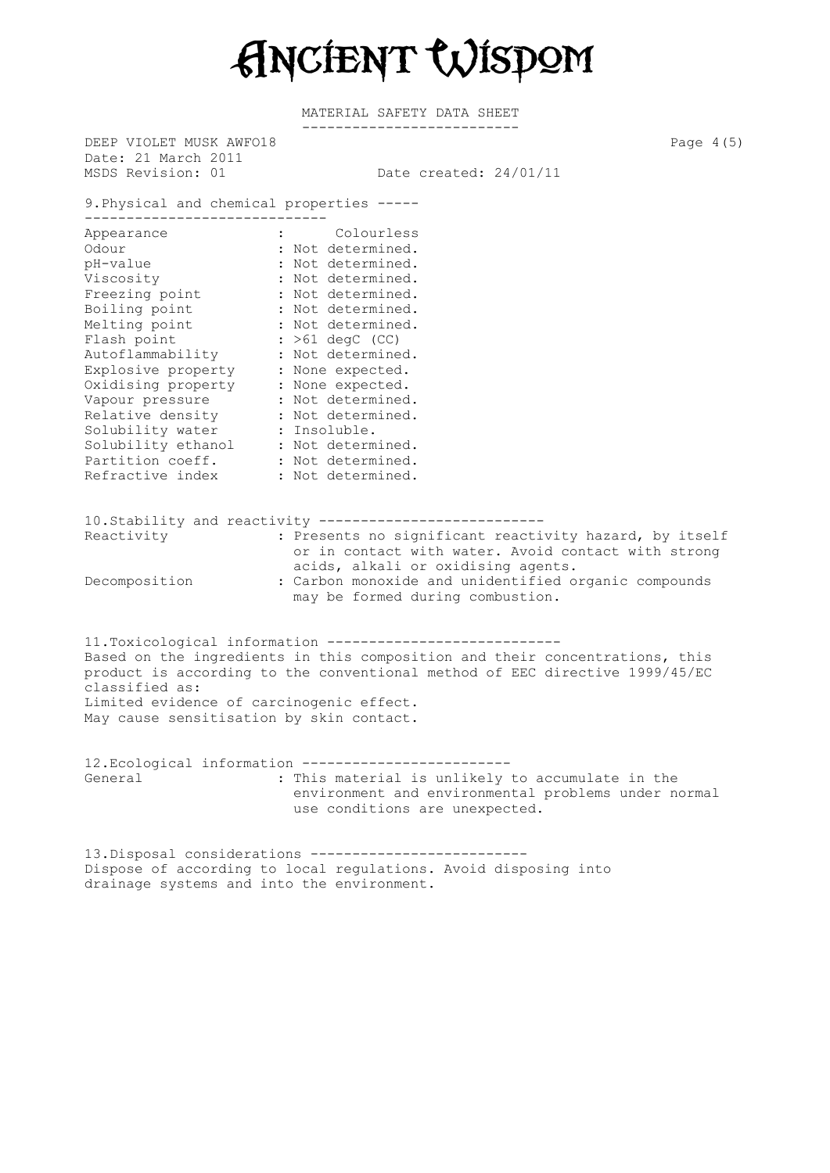Ancient Wisdom

MATERIAL SAFETY DATA SHEET --------------------------

DEEP VIOLET MUSK AWFO18 Page 4(5) Date: 21 March 2011 MSDS Revision: 01 Date created: 24/01/11 9.Physical and chemical properties ----- ----------------------------- Appearance **:** Colourless Odour : Not determined. pH-value : Not determined. Viscosity : Not determined. Freezing point : Not determined. Boiling point : Not determined. Melting point : Not determined. Flash point : >61 degC (CC) Autoflammability : Not determined. Explosive property : None expected. Oxidising property : None expected. Vapour pressure : Not determined. Relative density : Not determined. Solubility water : Insoluble. Solubility ethanol : Not determined. Partition coeff. : Not determined. Refractive index : Not determined. 10.Stability and reactivity --------------------------- : Presents no significant reactivity hazard, by itself or in contact with water. Avoid contact with strong acids, alkali or oxidising agents. Decomposition : Carbon monoxide and unidentified organic compounds may be formed during combustion. 11.Toxicological information ---------------------------- Based on the ingredients in this composition and their concentrations, this product is according to the conventional method of EEC directive 1999/45/EC classified as: Limited evidence of carcinogenic effect. May cause sensitisation by skin contact. 12.Ecological information ------------------------- General  $\qquad \qquad :$  This material is unlikely to accumulate in the environment and environmental problems under normal use conditions are unexpected. 13.Disposal considerations -------------------------- Dispose of according to local regulations. Avoid disposing into

drainage systems and into the environment.